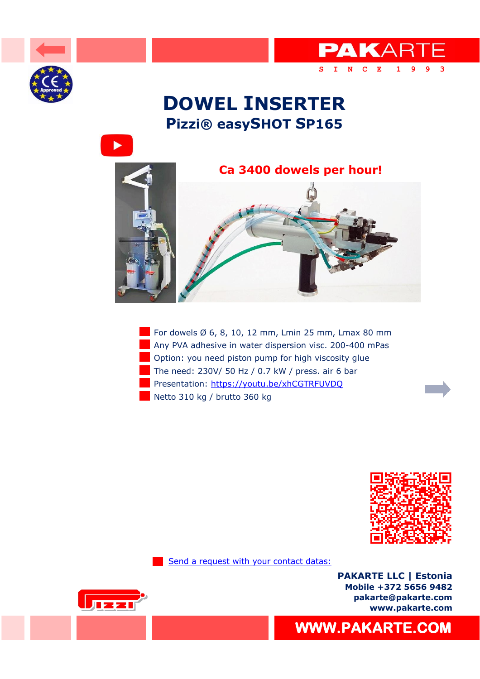





**[S I N C E 1 9 9 3](https://pakarte.com/index.html)** 

PAKARTE









[Send a request with your contact datas:](https://pakarte.com/eng/kontakt_eng.html)

**PAKARTE LLC | Estonia Mobile +372 5656 9482 pakarte@pakarte.com www.pakarte.com**



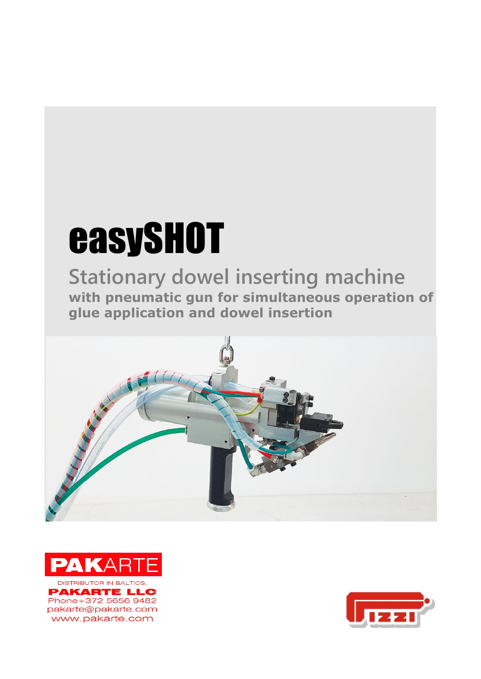# easySHOT

**Stationary dowel inserting machine with pneumatic gun for simultaneous operation of glue application and dowel insertion**





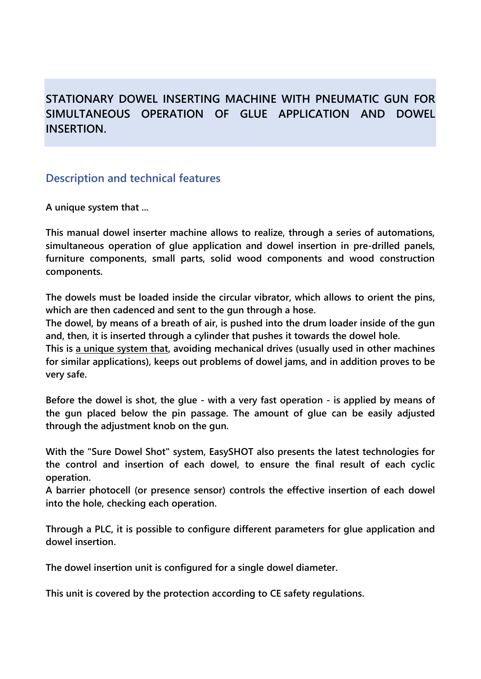# **STATIONARY DOWEL INSERTING MACHINE WITH PNEUMATIC GUN FOR SIMULTANEOUS OPERATION OF GLUE APPLICATION AND DOWEL INSERTION.**

## **Description and technical features**

**A unique system that ...**

**This manual dowel inserter machine allows to realize, through a series of automations, simultaneous operation of glue application and dowel insertion in pre-drilled panels, furniture components, small parts, solid wood components and wood construction components.**

**The dowels must be loaded inside the circular vibrator, which allows to orient the pins, which are then cadenced and sent to the gun through a hose.**

**The dowel, by means of a breath of air, is pushed into the drum loader inside of the gun and, then, it is inserted through a cylinder that pushes it towards the dowel hole.**

**This is a unique system that, avoiding mechanical drives (usually used in other machines for similar applications), keeps out problems of dowel jams, and in addition proves to be very safe.**

**Before the dowel is shot, the glue - with a very fast operation - is applied by means of the gun placed below the pin passage. The amount of glue can be easily adjusted through the adjustment knob on the gun.**

**With the "Sure Dowel Shot" system, EasySHOT also presents the latest technologies for the control and insertion of each dowel, to ensure the final result of each cyclic operation.**

**A barrier photocell (or presence sensor) controls the effective insertion of each dowel into the hole, checking each operation.**

**Through a PLC, it is possible to configure different parameters for glue application and dowel insertion.**

**The dowel insertion unit is configured for a single dowel diameter.**

**This unit is covered by the protection according to CE safety regulations.**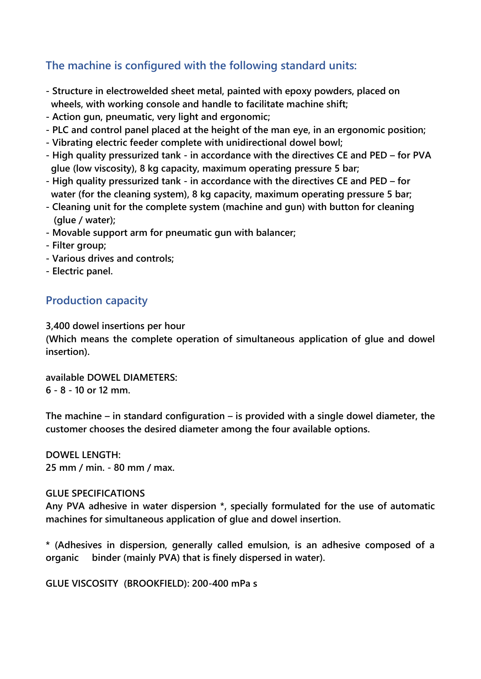## **The machine is configured with the following standard units:**

- **- Structure in electrowelded sheet metal, painted with epoxy powders, placed on wheels, with working console and handle to facilitate machine shift;**
- **- Action gun, pneumatic, very light and ergonomic;**
- **- PLC and control panel placed at the height of the man eye, in an ergonomic position;**
- **- Vibrating electric feeder complete with unidirectional dowel bowl;**
- **- High quality pressurized tank - in accordance with the directives CE and PED – for PVA glue (low viscosity), 8 kg capacity, maximum operating pressure 5 bar;**
- **- High quality pressurized tank - in accordance with the directives CE and PED – for water (for the cleaning system), 8 kg capacity, maximum operating pressure 5 bar;**
- **- Cleaning unit for the complete system (machine and gun) with button for cleaning (glue / water);**
- **- Movable support arm for pneumatic gun with balancer;**
- **- Filter group;**
- **- Various drives and controls;**
- **- Electric panel.**

## **Production capacity**

**3,400 dowel insertions per hour**

**(Which means the complete operation of simultaneous application of glue and dowel insertion).**

**available DOWEL DIAMETERS: 6 - 8 - 10 or 12 mm.**

**The machine – in standard configuration – is provided with a single dowel diameter, the customer chooses the desired diameter among the four available options.**

**DOWEL LENGTH: 25 mm / min. - 80 mm / max.**

#### **GLUE SPECIFICATIONS**

**Any PVA adhesive in water dispersion \*, specially formulated for the use of automatic machines for simultaneous application of glue and dowel insertion.**

**\* (Adhesives in dispersion, generally called emulsion, is an adhesive composed of a organic binder (mainly PVA) that is finely dispersed in water).**

**GLUE VISCOSITY (BROOKFIELD): 200-400 mPa s**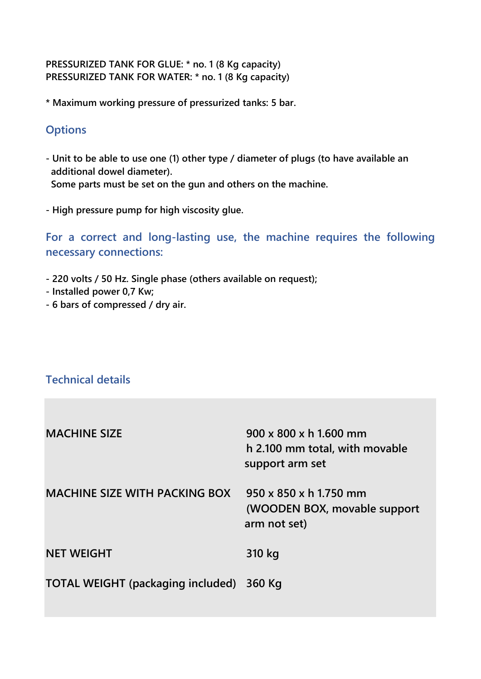#### **PRESSURIZED TANK FOR GLUE: \* no. 1 (8 Kg capacity) PRESSURIZED TANK FOR WATER: \* no. 1 (8 Kg capacity)**

**\* Maximum working pressure of pressurized tanks: 5 bar.**

### **Options**

**- Unit to be able to use one (1) other type / diameter of plugs (to have available an additional dowel diameter). Some parts must be set on the gun and others on the machine.**

**- High pressure pump for high viscosity glue.**

**For a correct and long-lasting use, the machine requires the following necessary connections:**

- **- 220 volts / 50 Hz. Single phase (others available on request);**
- **- Installed power 0,7 Kw;**
- **- 6 bars of compressed / dry air.**

## **Technical details**

| <b>MACHINE SIZE</b>                      | 900 x 800 x h 1.600 mm<br>h 2.100 mm total, with movable<br>support arm set        |
|------------------------------------------|------------------------------------------------------------------------------------|
| <b>MACHINE SIZE WITH PACKING BOX</b>     | $950 \times 850 \times h$ 1.750 mm<br>(WOODEN BOX, movable support<br>arm not set) |
| <b>NET WEIGHT</b>                        | 310 kg                                                                             |
| <b>TOTAL WEIGHT (packaging included)</b> | 360 Kg                                                                             |